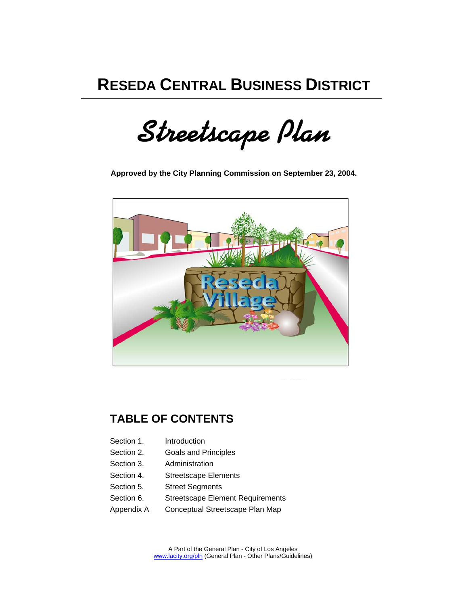# **RESEDA CENTRAL BUSINESS DISTRICT**

**Streetscape Plan**

**Approved by the City Planning Commission on September 23, 2004.**



## **TABLE OF CONTENTS**

- Section 1. Introduction
- Section 2. Goals and Principles
- Section 3. Administration
- Section 4. Streetscape Elements
- Section 5. Street Segments
- Section 6. Streetscape Element Requirements
- Appendix A Conceptual Streetscape Plan Map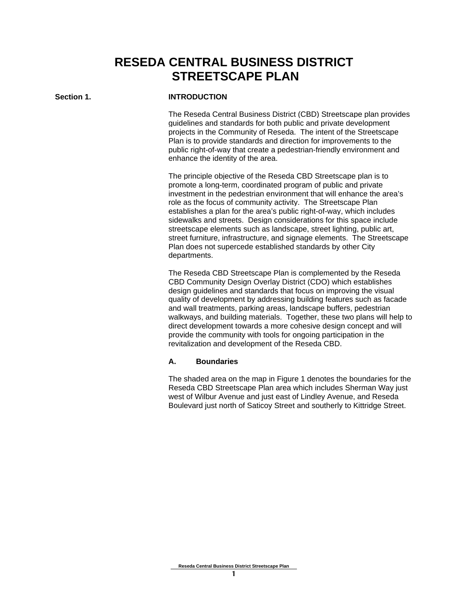## **RESEDA CENTRAL BUSINESS DISTRICT STREETSCAPE PLAN**

#### Section 1. **INTRODUCTION**

The Reseda Central Business District (CBD) Streetscape plan provides guidelines and standards for both public and private development projects in the Community of Reseda. The intent of the Streetscape Plan is to provide standards and direction for improvements to the public right-of-way that create a pedestrian-friendly environment and enhance the identity of the area.

The principle objective of the Reseda CBD Streetscape plan is to promote a long-term, coordinated program of public and private investment in the pedestrian environment that will enhance the area's role as the focus of community activity. The Streetscape Plan establishes a plan for the area's public right-of-way, which includes sidewalks and streets. Design considerations for this space include streetscape elements such as landscape, street lighting, public art, street furniture, infrastructure, and signage elements. The Streetscape Plan does not supercede established standards by other City departments.

The Reseda CBD Streetscape Plan is complemented by the Reseda CBD Community Design Overlay District (CDO) which establishes design guidelines and standards that focus on improving the visual quality of development by addressing building features such as facade and wall treatments, parking areas, landscape buffers, pedestrian walkways, and building materials. Together, these two plans will help to direct development towards a more cohesive design concept and will provide the community with tools for ongoing participation in the revitalization and development of the Reseda CBD.

#### **A. Boundaries**

The shaded area on the map in Figure 1 denotes the boundaries for the Reseda CBD Streetscape Plan area which includes Sherman Way just west of Wilbur Avenue and just east of Lindley Avenue, and Reseda Boulevard just north of Saticoy Street and southerly to Kittridge Street.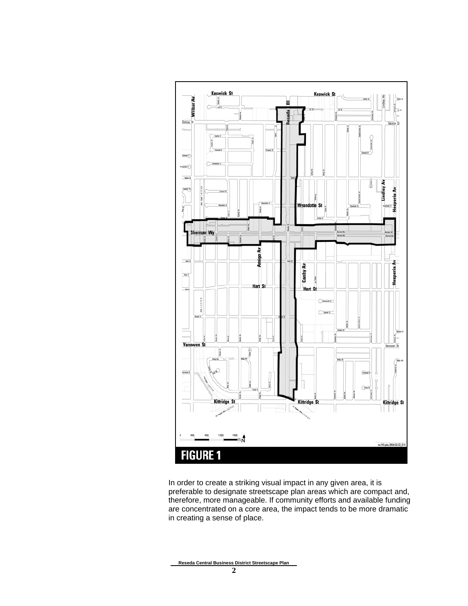

In order to create a striking visual impact in any given area, it is preferable to designate streetscape plan areas which are compact and, therefore, more manageable. If community efforts and available funding are concentrated on a core area, the impact tends to be more dramatic in creating a sense of place.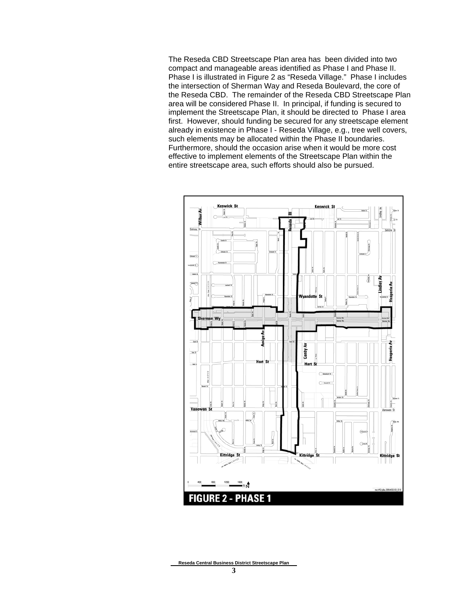The Reseda CBD Streetscape Plan area has been divided into two compact and manageable areas identified as Phase I and Phase II. Phase I is illustrated in Figure 2 as "Reseda Village." Phase I includes the intersection of Sherman Way and Reseda Boulevard, the core of the Reseda CBD. The remainder of the Reseda CBD Streetscape Plan area will be considered Phase II. In principal, if funding is secured to implement the Streetscape Plan, it should be directed to Phase I area first. However, should funding be secured for any streetscape element already in existence in Phase I - Reseda Village, e.g., tree well covers, such elements may be allocated within the Phase II boundaries. Furthermore, should the occasion arise when it would be more cost effective to implement elements of the Streetscape Plan within the entire streetscape area, such efforts should also be pursued.

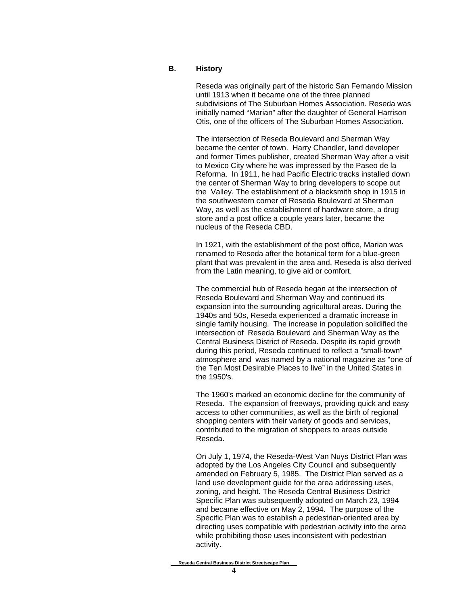#### **B. History**

Reseda was originally part of the historic San Fernando Mission until 1913 when it became one of the three planned subdivisions of The Suburban Homes Association. Reseda was initially named "Marian" after the daughter of General Harrison Otis, one of the officers of The Suburban Homes Association.

The intersection of Reseda Boulevard and Sherman Way became the center of town. Harry Chandler, land developer and former Times publisher, created Sherman Way after a visit to Mexico City where he was impressed by the Paseo de la Reforma. In 1911, he had Pacific Electric tracks installed down the center of Sherman Way to bring developers to scope out the Valley. The establishment of a blacksmith shop in 1915 in the southwestern corner of Reseda Boulevard at Sherman Way, as well as the establishment of hardware store, a drug store and a post office a couple years later, became the nucleus of the Reseda CBD.

In 1921, with the establishment of the post office, Marian was renamed to Reseda after the botanical term for a blue-green plant that was prevalent in the area and, Reseda is also derived from the Latin meaning, to give aid or comfort.

The commercial hub of Reseda began at the intersection of Reseda Boulevard and Sherman Way and continued its expansion into the surrounding agricultural areas. During the 1940s and 50s, Reseda experienced a dramatic increase in single family housing. The increase in population solidified the intersection of Reseda Boulevard and Sherman Way as the Central Business District of Reseda. Despite its rapid growth during this period, Reseda continued to reflect a "small-town" atmosphere and was named by a national magazine as "one of the Ten Most Desirable Places to live" in the United States in the 1950's.

The 1960's marked an economic decline for the community of Reseda. The expansion of freeways, providing quick and easy access to other communities, as well as the birth of regional shopping centers with their variety of goods and services, contributed to the migration of shoppers to areas outside Reseda.

On July 1, 1974, the Reseda-West Van Nuys District Plan was adopted by the Los Angeles City Council and subsequently amended on February 5, 1985. The District Plan served as a land use development guide for the area addressing uses, zoning, and height. The Reseda Central Business District Specific Plan was subsequently adopted on March 23, 1994 and became effective on May 2, 1994. The purpose of the Specific Plan was to establish a pedestrian-oriented area by directing uses compatible with pedestrian activity into the area while prohibiting those uses inconsistent with pedestrian activity.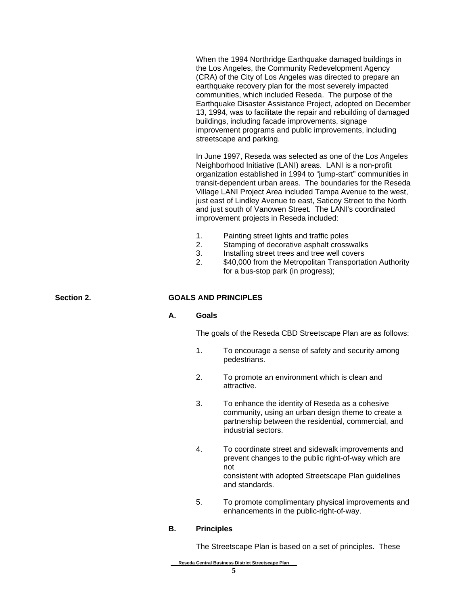When the 1994 Northridge Earthquake damaged buildings in the Los Angeles, the Community Redevelopment Agency (CRA) of the City of Los Angeles was directed to prepare an earthquake recovery plan for the most severely impacted communities, which included Reseda. The purpose of the Earthquake Disaster Assistance Project, adopted on December 13, 1994, was to facilitate the repair and rebuilding of damaged buildings, including facade improvements, signage improvement programs and public improvements, including streetscape and parking.

In June 1997, Reseda was selected as one of the Los Angeles Neighborhood Initiative (LANI) areas. LANI is a non-profit organization established in 1994 to "jump-start" communities in transit-dependent urban areas. The boundaries for the Reseda Village LANI Project Area included Tampa Avenue to the west, just east of Lindley Avenue to east, Saticoy Street to the North and just south of Vanowen Street. The LANI's coordinated improvement projects in Reseda included:

- 1. Painting street lights and traffic poles
- 2. Stamping of decorative asphalt crosswalks
- 3. Installing street trees and tree well covers
- 2. \$40,000 from the Metropolitan Transportation Authority for a bus-stop park (in progress);

#### **Section 2. GOALS AND PRINCIPLES**

#### **A. Goals**

The goals of the Reseda CBD Streetscape Plan are as follows:

- 1. To encourage a sense of safety and security among pedestrians.
- 2. To promote an environment which is clean and attractive.
- 3. To enhance the identity of Reseda as a cohesive community, using an urban design theme to create a partnership between the residential, commercial, and industrial sectors.
- 4. To coordinate street and sidewalk improvements and prevent changes to the public right-of-way which are not consistent with adopted Streetscape Plan guidelines and standards.
- 5. To promote complimentary physical improvements and enhancements in the public-right-of-way.

#### **B. Principles**

The Streetscape Plan is based on a set of principles. These

**Reseda Central Business District Streetscape Plan**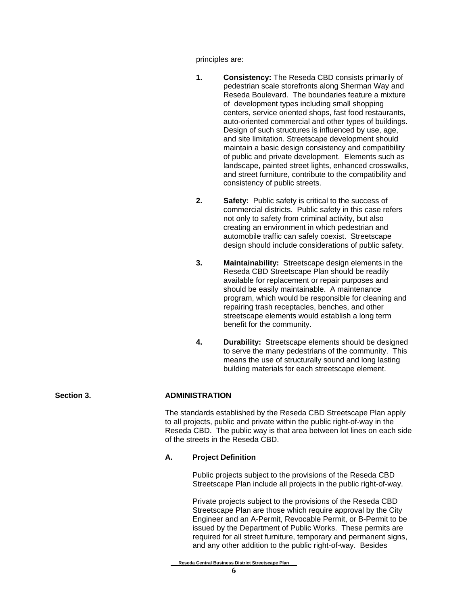principles are:

- **1. Consistency:** The Reseda CBD consists primarily of pedestrian scale storefronts along Sherman Way and Reseda Boulevard. The boundaries feature a mixture of development types including small shopping centers, service oriented shops, fast food restaurants, auto-oriented commercial and other types of buildings. Design of such structures is influenced by use, age, and site limitation. Streetscape development should maintain a basic design consistency and compatibility of public and private development. Elements such as landscape, painted street lights, enhanced crosswalks, and street furniture, contribute to the compatibility and consistency of public streets.
- **2. Safety:** Public safety is critical to the success of commercial districts. Public safety in this case refers not only to safety from criminal activity, but also creating an environment in which pedestrian and automobile traffic can safely coexist. Streetscape design should include considerations of public safety.
- **3. Maintainability:** Streetscape design elements in the Reseda CBD Streetscape Plan should be readily available for replacement or repair purposes and should be easily maintainable. A maintenance program, which would be responsible for cleaning and repairing trash receptacles, benches, and other streetscape elements would establish a long term benefit for the community.
- **4. Durability:** Streetscape elements should be designed to serve the many pedestrians of the community. This means the use of structurally sound and long lasting building materials for each streetscape element.

#### Section 3. ADMINISTRATION

The standards established by the Reseda CBD Streetscape Plan apply to all projects, public and private within the public right-of-way in the Reseda CBD. The public way is that area between lot lines on each side of the streets in the Reseda CBD.

#### **A. Project Definition**

Public projects subject to the provisions of the Reseda CBD Streetscape Plan include all projects in the public right-of-way.

Private projects subject to the provisions of the Reseda CBD Streetscape Plan are those which require approval by the City Engineer and an A-Permit, Revocable Permit, or B-Permit to be issued by the Department of Public Works. These permits are required for all street furniture, temporary and permanent signs, and any other addition to the public right-of-way. Besides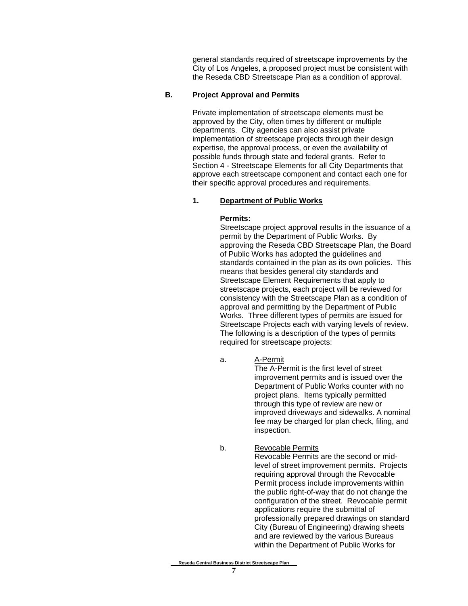general standards required of streetscape improvements by the City of Los Angeles, a proposed project must be consistent with the Reseda CBD Streetscape Plan as a condition of approval.

#### **B. Project Approval and Permits**

Private implementation of streetscape elements must be approved by the City, often times by different or multiple departments. City agencies can also assist private implementation of streetscape projects through their design expertise, the approval process, or even the availability of possible funds through state and federal grants. Refer to Section 4 - Streetscape Elements for all City Departments that approve each streetscape component and contact each one for their specific approval procedures and requirements.

#### **1. Department of Public Works**

#### **Permits:**

Streetscape project approval results in the issuance of a permit by the Department of Public Works. By approving the Reseda CBD Streetscape Plan, the Board of Public Works has adopted the guidelines and standards contained in the plan as its own policies. This means that besides general city standards and Streetscape Element Requirements that apply to streetscape projects, each project will be reviewed for consistency with the Streetscape Plan as a condition of approval and permitting by the Department of Public Works. Three different types of permits are issued for Streetscape Projects each with varying levels of review. The following is a description of the types of permits required for streetscape projects:

a. A-Permit

The A-Permit is the first level of street improvement permits and is issued over the Department of Public Works counter with no project plans. Items typically permitted through this type of review are new or improved driveways and sidewalks. A nominal fee may be charged for plan check, filing, and inspection.

b. Revocable Permits

Revocable Permits are the second or midlevel of street improvement permits. Projects requiring approval through the Revocable Permit process include improvements within the public right-of-way that do not change the configuration of the street. Revocable permit applications require the submittal of professionally prepared drawings on standard City (Bureau of Engineering) drawing sheets and are reviewed by the various Bureaus within the Department of Public Works for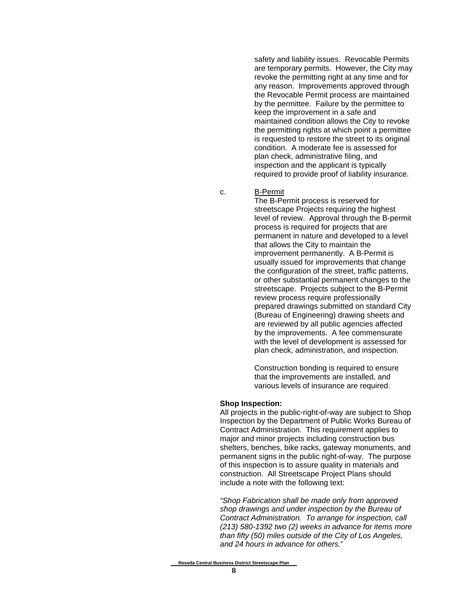safety and liability issues. Revocable Permits are temporary permits. However, the City may revoke the permitting right at any time and for any reason. Improvements approved through the Revocable Permit process are maintained by the permittee. Failure by the permittee to keep the improvement in a safe and maintained condition allows the City to revoke the permitting rights at which point a permittee is requested to restore the street to its original condition. A moderate fee is assessed for plan check, administrative filing, and inspection and the applicant is typically required to provide proof of liability insurance.

c. B-Permit

The B-Permit process is reserved for streetscape Projects requiring the highest level of review. Approval through the B-permit process is required for projects that are permanent in nature and developed to a level that allows the City to maintain the improvement permanently. A B-Permit is usually issued for improvements that change the configuration of the street, traffic patterns, or other substantial permanent changes to the streetscape. Projects subject to the B-Permit review process require professionally prepared drawings submitted on standard City (Bureau of Engineering) drawing sheets and are reviewed by all public agencies affected by the improvements. A fee commensurate with the level of development is assessed for plan check, administration, and inspection.

Construction bonding is required to ensure that the improvements are installed, and various levels of insurance are required.

#### **Shop Inspection:**

All projects in the public-right-of-way are subject to Shop Inspection by the Department of Public Works Bureau of Contract Administration. This requirement applies to major and minor projects including construction bus shelters, benches, bike racks, gateway monuments, and permanent signs in the public right-of-way. The purpose of this inspection is to assure quality in materials and construction. All Streetscape Project Plans should include a note with the following text:

*"Shop Fabrication shall be made only from approved shop drawings and under inspection by the Bureau of Contract Administration. To arrange for inspection, call (213) 580-1392 two (2) weeks in advance for items more than fifty (50) miles outside of the City of Los Angeles, and 24 hours in advance for others.*"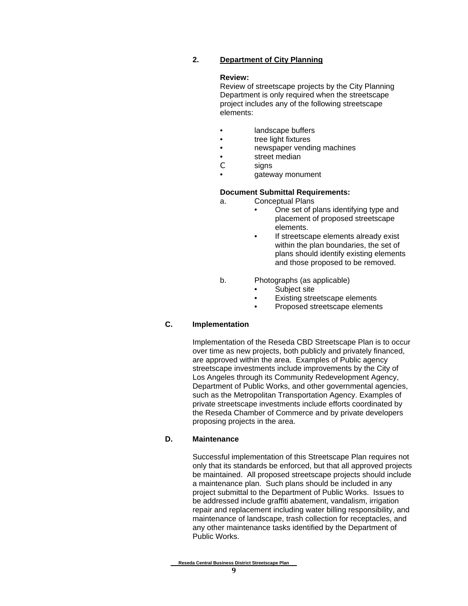#### **2. Department of City Planning**

#### **Review:**

Review of streetscape projects by the City Planning Department is only required when the streetscape project includes any of the following streetscape elements:

- landscape buffers
- **tree light fixtures**
- newspaper vending machines
- street median<br>
C signs
- signs
- gateway monument

#### **Document Submittal Requirements:**

- a. Conceptual Plans
	- One set of plans identifying type and placement of proposed streetscape elements.
	- If streetscape elements already exist within the plan boundaries, the set of plans should identify existing elements and those proposed to be removed.
- b. Photographs (as applicable)
	- Subject site
	- Existing streetscape elements
	- Proposed streetscape elements

#### **C. Implementation**

Implementation of the Reseda CBD Streetscape Plan is to occur over time as new projects, both publicly and privately financed, are approved within the area. Examples of Public agency streetscape investments include improvements by the City of Los Angeles through its Community Redevelopment Agency, Department of Public Works, and other governmental agencies, such as the Metropolitan Transportation Agency. Examples of private streetscape investments include efforts coordinated by the Reseda Chamber of Commerce and by private developers proposing projects in the area.

#### **D. Maintenance**

Successful implementation of this Streetscape Plan requires not only that its standards be enforced, but that all approved projects be maintained. All proposed streetscape projects should include a maintenance plan. Such plans should be included in any project submittal to the Department of Public Works. Issues to be addressed include graffiti abatement, vandalism, irrigation repair and replacement including water billing responsibility, and maintenance of landscape, trash collection for receptacles, and any other maintenance tasks identified by the Department of Public Works.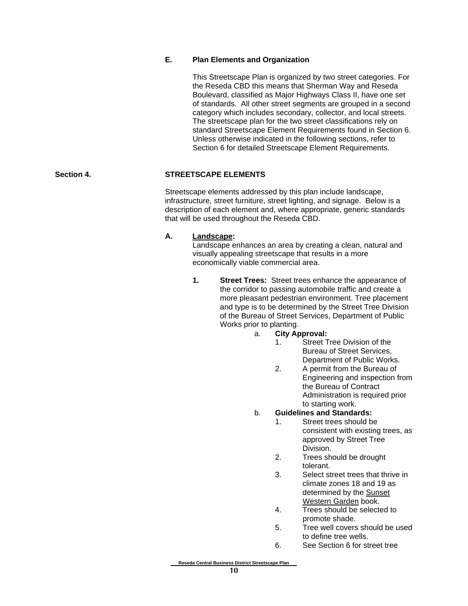#### **E. Plan Elements and Organization**

This Streetscape Plan is organized by two street categories. For the Reseda CBD this means that Sherman Way and Reseda Boulevard, classified as Major Highways Class II, have one set of standards. All other street segments are grouped in a second category which includes secondary, collector, and local streets. The streetscape plan for the two street classifications rely on standard Streetscape Element Requirements found in Section 6. Unless otherwise indicated in the following sections, refer to Section 6 for detailed Streetscape Element Requirements.

#### **Section 4. STREETSCAPE ELEMENTS**

Streetscape elements addressed by this plan include landscape, infrastructure, street furniture, street lighting, and signage. Below is a description of each element and, where appropriate, generic standards that will be used throughout the Reseda CBD.

#### **A. Landscape:**

Landscape enhances an area by creating a clean, natural and visually appealing streetscape that results in a more economically viable commercial area.

- **1. Street Trees:** Street trees enhance the appearance of the corridor to passing automobile traffic and create a more pleasant pedestrian environment. Tree placement and type is to be determined by the Street Tree Division of the Bureau of Street Services, Department of Public Works prior to planting.
	- a. **City Approval:**
		- 1. Street Tree Division of the Bureau of Street Services, Department of Public Works.
		- 2. A permit from the Bureau of Engineering and inspection from the Bureau of Contract Administration is required prior to starting work.
	- b. **Guidelines and Standards:**
		- 1. Street trees should be consistent with existing trees, as approved by Street Tree Division.
		- 2. Trees should be drought tolerant.
		- 3. Select street trees that thrive in climate zones 18 and 19 as determined by the Sunset Western Garden book.
		- 4. Trees should be selected to promote shade.
		- 5. Tree well covers should be used to define tree wells.
		- 6. See Section 6 for street tree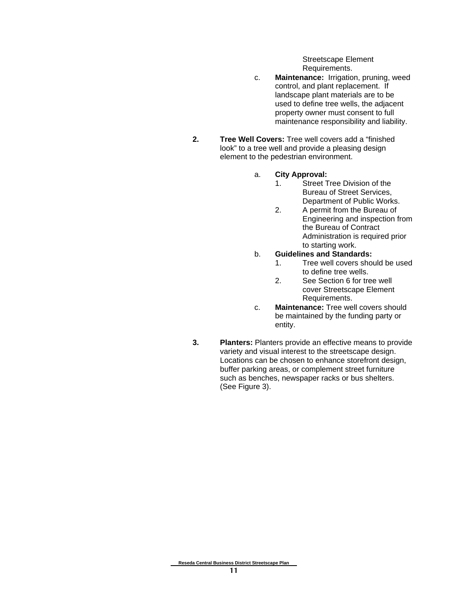Streetscape Element Requirements.

- c. **Maintenance:** Irrigation, pruning, weed control, and plant replacement. If landscape plant materials are to be used to define tree wells, the adjacent property owner must consent to full maintenance responsibility and liability.
- **2. Tree Well Covers:** Tree well covers add a "finished look" to a tree well and provide a pleasing design element to the pedestrian environment.
	- a. **City Approval:**
		- 1. Street Tree Division of the Bureau of Street Services, Department of Public Works.
		- 2. A permit from the Bureau of Engineering and inspection from the Bureau of Contract Administration is required prior to starting work.
	- b. **Guidelines and Standards:**
		- 1. Tree well covers should be used to define tree wells.
		- 2. See Section 6 for tree well cover Streetscape Element Requirements.
	- c. **Maintenance:** Tree well covers should be maintained by the funding party or entity.
- **3. Planters:** Planters provide an effective means to provide variety and visual interest to the streetscape design. Locations can be chosen to enhance storefront design, buffer parking areas, or complement street furniture such as benches, newspaper racks or bus shelters. (See Figure 3).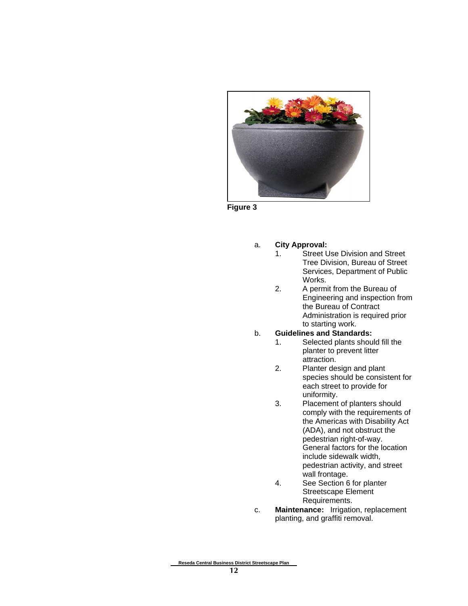

**Figure 3**

#### a. **City Approval:**

- 1. Street Use Division and Street Tree Division, Bureau of Street Services, Department of Public Works.
- 2. A permit from the Bureau of Engineering and inspection from the Bureau of Contract Administration is required prior to starting work.

#### b. **Guidelines and Standards:**

- 1. Selected plants should fill the planter to prevent litter attraction.
- 2. Planter design and plant species should be consistent for each street to provide for uniformity.
- 3. Placement of planters should comply with the requirements of the Americas with Disability Act (ADA), and not obstruct the pedestrian right-of-way. General factors for the location include sidewalk width, pedestrian activity, and street wall frontage.
- 4. See Section 6 for planter Streetscape Element Requirements.
- c. **Maintenance:** Irrigation, replacement planting, and graffiti removal.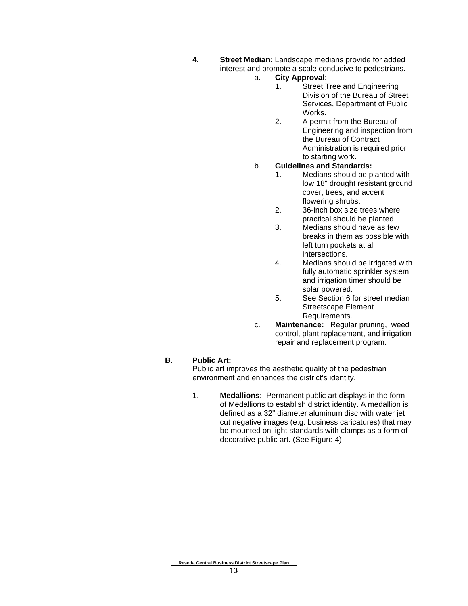- **4. Street Median:** Landscape medians provide for added interest and promote a scale conducive to pedestrians.
	- a. **City Approval:**
		- 1. Street Tree and Engineering Division of the Bureau of Street Services, Department of Public Works.
		- 2. A permit from the Bureau of Engineering and inspection from the Bureau of Contract Administration is required prior to starting work.

#### b. **Guidelines and Standards:**

- 1. Medians should be planted with low 18" drought resistant ground cover, trees, and accent flowering shrubs.
- 2. 36-inch box size trees where practical should be planted.
- 3. Medians should have as few breaks in them as possible with left turn pockets at all intersections.
- 4. Medians should be irrigated with fully automatic sprinkler system and irrigation timer should be solar powered.
- 5. See Section 6 for street median Streetscape Element Requirements.
- c. **Maintenance:** Regular pruning, weed control, plant replacement, and irrigation repair and replacement program.

#### **B. Public Art:**

Public art improves the aesthetic quality of the pedestrian environment and enhances the district's identity.

1. **Medallions:** Permanent public art displays in the form of Medallions to establish district identity. A medallion is defined as a 32" diameter aluminum disc with water jet cut negative images (e.g. business caricatures) that may be mounted on light standards with clamps as a form of decorative public art. (See Figure 4)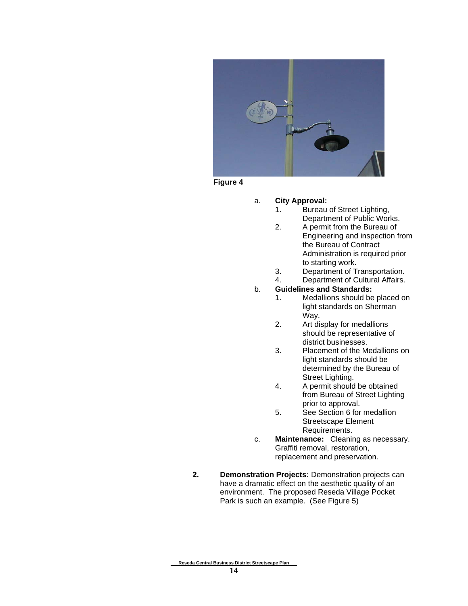

**Figure 4**

#### a. **City Approval:**

- 1. Bureau of Street Lighting, Department of Public Works.
- 2. A permit from the Bureau of Engineering and inspection from the Bureau of Contract Administration is required prior to starting work.
- 3. Department of Transportation.
- 4. Department of Cultural Affairs.

#### b. **Guidelines and Standards:**

- 1. Medallions should be placed on light standards on Sherman Way.
- 2. Art display for medallions should be representative of district businesses.
- 3. Placement of the Medallions on light standards should be determined by the Bureau of Street Lighting.
- 4. A permit should be obtained from Bureau of Street Lighting prior to approval.
- 5. See Section 6 for medallion Streetscape Element Requirements.
- c. **Maintenance:** Cleaning as necessary. Graffiti removal, restoration, replacement and preservation.
- **2. Demonstration Projects:** Demonstration projects can have a dramatic effect on the aesthetic quality of an environment. The proposed Reseda Village Pocket Park is such an example. (See Figure 5)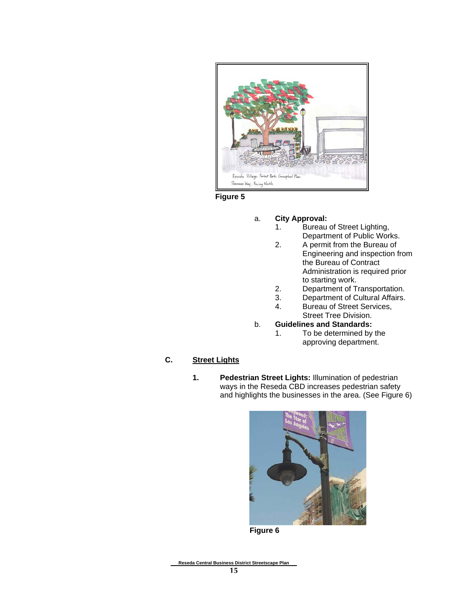

**Figure 5**

- a. **City Approval:**
	- 1. Bureau of Street Lighting, Department of Public Works.
	- 2. A permit from the Bureau of Engineering and inspection from the Bureau of Contract Administration is required prior to starting work.
	- 2. Department of Transportation.
	- 3. Department of Cultural Affairs.
	- 4. Bureau of Street Services, Street Tree Division.
- b. **Guidelines and Standards:**
	- 1. To be determined by the approving department.

### **C. Street Lights**

**1. Pedestrian Street Lights:** Illumination of pedestrian ways in the Reseda CBD increases pedestrian safety and highlights the businesses in the area. (See Figure 6)



**Figure 6**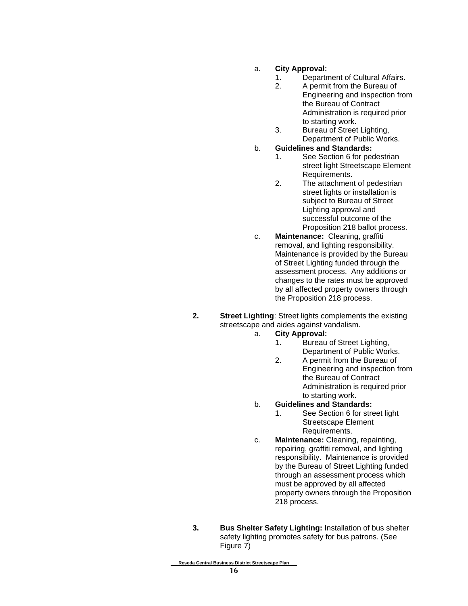#### a. **City Approval:**

- 1. Department of Cultural Affairs.
- 2. A permit from the Bureau of Engineering and inspection from the Bureau of Contract Administration is required prior to starting work.
- 3. Bureau of Street Lighting, Department of Public Works.

#### b. **Guidelines and Standards:**

- 1. See Section 6 for pedestrian street light Streetscape Element Requirements.
- 2. The attachment of pedestrian street lights or installation is subject to Bureau of Street Lighting approval and successful outcome of the Proposition 218 ballot process.
- c. **Maintenance:** Cleaning, graffiti removal, and lighting responsibility. Maintenance is provided by the Bureau of Street Lighting funded through the assessment process. Any additions or changes to the rates must be approved by all affected property owners through the Proposition 218 process.
- **2. Street Lighting**: Street lights complements the existing streetscape and aides against vandalism.

#### a. **City Approval:**

- 1. Bureau of Street Lighting, Department of Public Works.
- 2. A permit from the Bureau of Engineering and inspection from the Bureau of Contract Administration is required prior to starting work.

#### b. **Guidelines and Standards:**

- 1. See Section 6 for street light Streetscape Element Requirements.
- c. **Maintenance:** Cleaning, repainting, repairing, graffiti removal, and lighting responsibility. Maintenance is provided by the Bureau of Street Lighting funded through an assessment process which must be approved by all affected property owners through the Proposition 218 process.
- **3. Bus Shelter Safety Lighting:** Installation of bus shelter safety lighting promotes safety for bus patrons. (See Figure 7)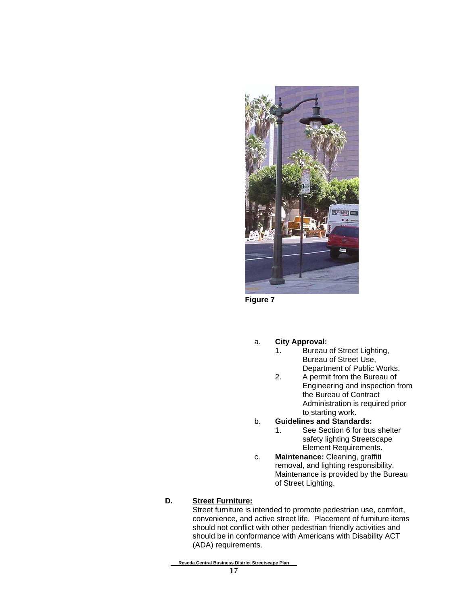

**Figure 7**

#### a. **City Approval:**

- 1. Bureau of Street Lighting, Bureau of Street Use, Department of Public Works.
- 2. A permit from the Bureau of Engineering and inspection from the Bureau of Contract Administration is required prior to starting work.

#### b. **Guidelines and Standards:**

- 1. See Section 6 for bus shelter safety lighting Streetscape Element Requirements.
- c. **Maintenance:** Cleaning, graffiti removal, and lighting responsibility. Maintenance is provided by the Bureau of Street Lighting.

#### **D. Street Furniture:**

Street furniture is intended to promote pedestrian use, comfort, convenience, and active street life. Placement of furniture items should not conflict with other pedestrian friendly activities and should be in conformance with Americans with Disability ACT (ADA) requirements.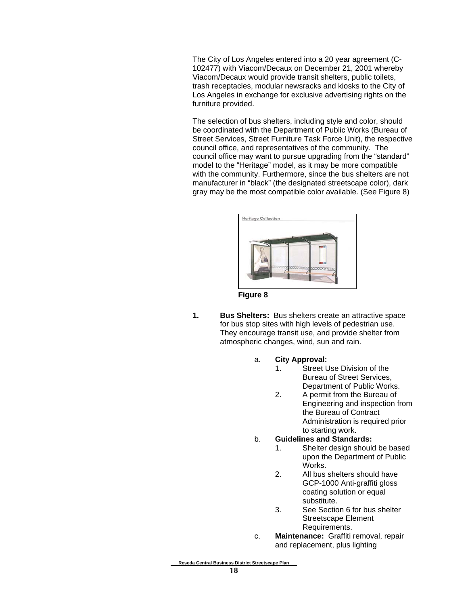The City of Los Angeles entered into a 20 year agreement (C-102477) with Viacom/Decaux on December 21, 2001 whereby Viacom/Decaux would provide transit shelters, public toilets, trash receptacles, modular newsracks and kiosks to the City of Los Angeles in exchange for exclusive advertising rights on the furniture provided.

The selection of bus shelters, including style and color, should be coordinated with the Department of Public Works (Bureau of Street Services, Street Furniture Task Force Unit), the respective council office, and representatives of the community. The council office may want to pursue upgrading from the "standard" model to the "Heritage" model, as it may be more compatible with the community. Furthermore, since the bus shelters are not manufacturer in "black" (the designated streetscape color), dark gray may be the most compatible color available. (See Figure 8)



**Figure 8**

- **1. Bus Shelters:** Bus shelters create an attractive space for bus stop sites with high levels of pedestrian use. They encourage transit use, and provide shelter from atmospheric changes, wind, sun and rain.
	- a. **City Approval:**
		- 1. Street Use Division of the Bureau of Street Services, Department of Public Works.
		- 2. A permit from the Bureau of Engineering and inspection from the Bureau of Contract Administration is required prior to starting work.
	- b. **Guidelines and Standards:**
		- 1. Shelter design should be based upon the Department of Public Works.
		- 2. All bus shelters should have GCP-1000 Anti-graffiti gloss coating solution or equal substitute.
		- 3. See Section 6 for bus shelter Streetscape Element Requirements.
	- c. **Maintenance:** Graffiti removal, repair and replacement, plus lighting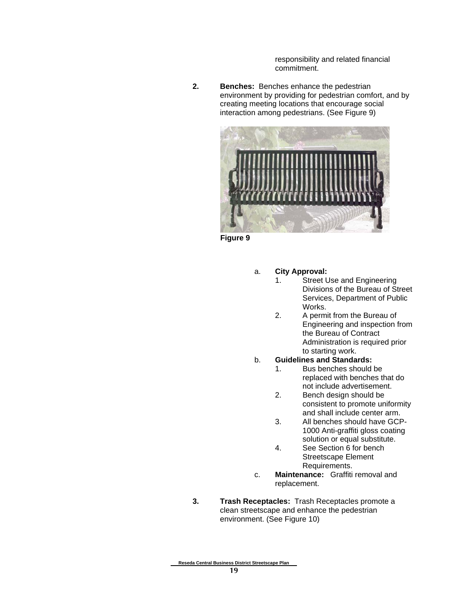responsibility and related financial commitment.

**2. Benches:** Benches enhance the pedestrian environment by providing for pedestrian comfort, and by creating meeting locations that encourage social interaction among pedestrians. (See Figure 9)



**Figure 9**

- a. **City Approval:**
	- 1. Street Use and Engineering Divisions of the Bureau of Street Services, Department of Public Works.
	- 2. A permit from the Bureau of Engineering and inspection from the Bureau of Contract Administration is required prior to starting work.
- b. **Guidelines and Standards:**
	- 1. Bus benches should be replaced with benches that do not include advertisement.
	- 2. Bench design should be consistent to promote uniformity and shall include center arm.
	- 3. All benches should have GCP-1000 Anti-graffiti gloss coating solution or equal substitute.
	- 4. See Section 6 for bench Streetscape Element Requirements.
- c. **Maintenance:** Graffiti removal and replacement.
- **3. Trash Receptacles:** Trash Receptacles promote a clean streetscape and enhance the pedestrian environment. (See Figure 10)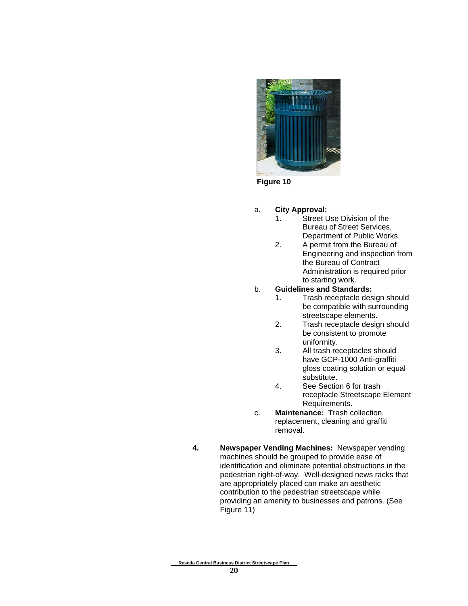

**Figure 10**

- a. **City Approval:**
	- 1. Street Use Division of the Bureau of Street Services, Department of Public Works.
	- 2. A permit from the Bureau of Engineering and inspection from the Bureau of Contract Administration is required prior to starting work.
- b. **Guidelines and Standards:**
	- 1. Trash receptacle design should be compatible with surrounding streetscape elements.
	- 2. Trash receptacle design should be consistent to promote uniformity.
	- 3. All trash receptacles should have GCP-1000 Anti-graffiti gloss coating solution or equal substitute.
	- 4. See Section 6 for trash receptacle Streetscape Element Requirements.
- c. **Maintenance:** Trash collection, replacement, cleaning and graffiti removal.
- **4. Newspaper Vending Machines:** Newspaper vending machines should be grouped to provide ease of identification and eliminate potential obstructions in the pedestrian right-of-way. Well-designed news racks that are appropriately placed can make an aesthetic contribution to the pedestrian streetscape while providing an amenity to businesses and patrons. (See Figure 11)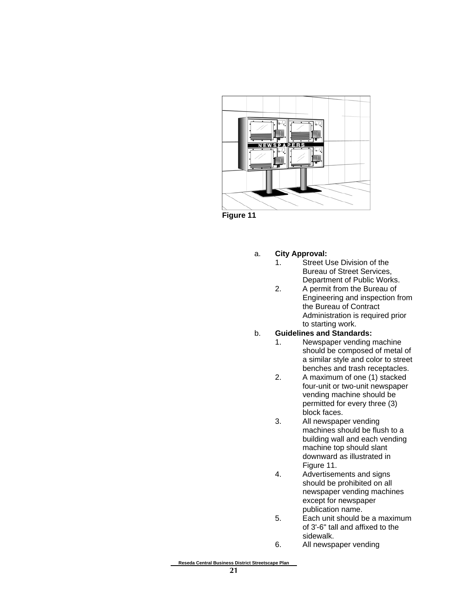

**Figure 11**

#### a. **City Approval:**

- 1. Street Use Division of the Bureau of Street Services, Department of Public Works.
- 2. A permit from the Bureau of Engineering and inspection from the Bureau of Contract Administration is required prior to starting work.

#### b. **Guidelines and Standards:**

- 1. Newspaper vending machine should be composed of metal of a similar style and color to street benches and trash receptacles.
- 2. A maximum of one (1) stacked four-unit or two-unit newspaper vending machine should be permitted for every three (3) block faces.
- 3. All newspaper vending machines should be flush to a building wall and each vending machine top should slant downward as illustrated in Figure 11.
- 4. Advertisements and signs should be prohibited on all newspaper vending machines except for newspaper publication name.
- 5. Each unit should be a maximum of 3'-6" tall and affixed to the sidewalk.
- 6. All newspaper vending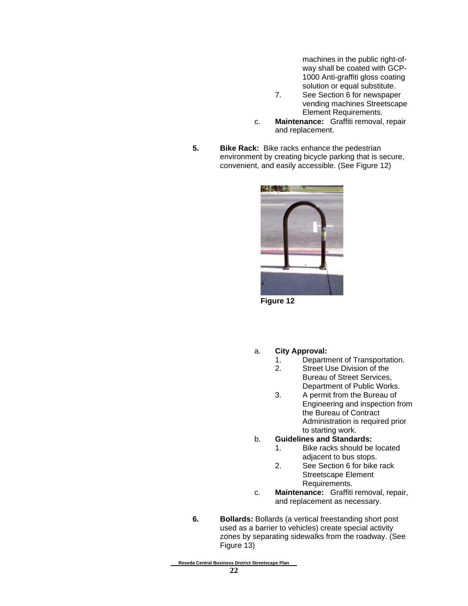machines in the public right-ofway shall be coated with GCP-1000 Anti-graffiti gloss coating solution or equal substitute.

- 7. See Section 6 for newspaper vending machines Streetscape Element Requirements.
- c. **Maintenance:** Graffiti removal, repair and replacement.
- **5.** Bike Rack: Bike racks enhance the pedestrian environment by creating bicycle parking that is secure, convenient, and easily accessible. (See Figure 12)



**Figure 12**

- a. **City Approval:**
	- 1. Department of Transportation.
	- 2. Street Use Division of the Bureau of Street Services, Department of Public Works.
	- 3. A permit from the Bureau of Engineering and inspection from the Bureau of Contract Administration is required prior to starting work.
- b. **Guidelines and Standards:**
	- 1. Bike racks should be located adjacent to bus stops.
	- 2. See Section 6 for bike rack Streetscape Element Requirements.
- c. **Maintenance:** Graffiti removal, repair, and replacement as necessary.
- **6. Bollards:** Bollards (a vertical freestanding short post used as a barrier to vehicles) create special activity zones by separating sidewalks from the roadway. (See Figure 13)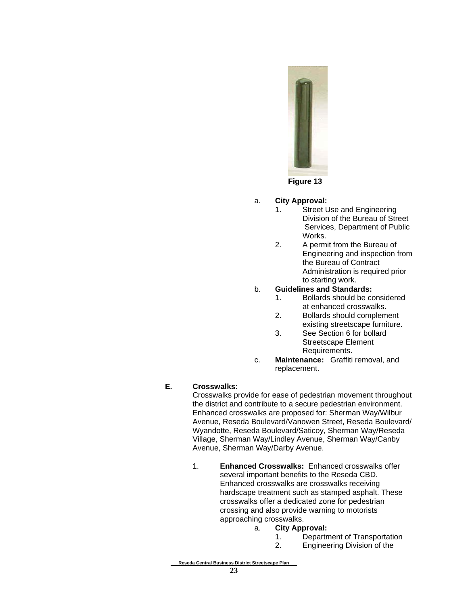

#### a. **City Approval:**

- 1. Street Use and Engineering Division of the Bureau of Street Services, Department of Public Works.
- 2. A permit from the Bureau of Engineering and inspection from the Bureau of Contract Administration is required prior to starting work.

#### b. **Guidelines and Standards:**

- 1. Bollards should be considered at enhanced crosswalks.
- 2. Bollards should complement existing streetscape furniture.
- 3. See Section 6 for bollard Streetscape Element Requirements.
- c. **Maintenance:** Graffiti removal, and replacement.

#### **E. Crosswalks:**

Crosswalks provide for ease of pedestrian movement throughout the district and contribute to a secure pedestrian environment. Enhanced crosswalks are proposed for: Sherman Way/Wilbur Avenue, Reseda Boulevard/Vanowen Street, Reseda Boulevard/ Wyandotte, Reseda Boulevard/Saticoy, Sherman Way/Reseda Village, Sherman Way/Lindley Avenue, Sherman Way/Canby Avenue, Sherman Way/Darby Avenue.

- 1. **Enhanced Crosswalks:** Enhanced crosswalks offer several important benefits to the Reseda CBD. Enhanced crosswalks are crosswalks receiving hardscape treatment such as stamped asphalt. These crosswalks offer a dedicated zone for pedestrian crossing and also provide warning to motorists approaching crosswalks.
	- a. **City Approval:**
		- 1. Department of Transportation
		- 2. Engineering Division of the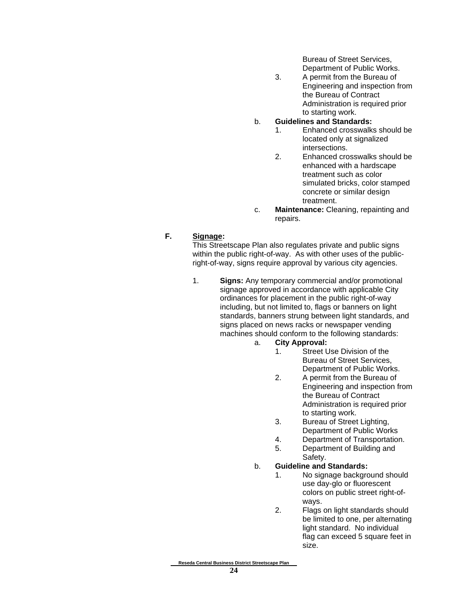Bureau of Street Services, Department of Public Works.

3. A permit from the Bureau of Engineering and inspection from the Bureau of Contract Administration is required prior to starting work.

#### b. **Guidelines and Standards:**

- 1. Enhanced crosswalks should be located only at signalized intersections.
- 2. Enhanced crosswalks should be enhanced with a hardscape treatment such as color simulated bricks, color stamped concrete or similar design treatment.
- c. **Maintenance:** Cleaning, repainting and repairs.

#### **F. Signage:**

This Streetscape Plan also regulates private and public signs within the public right-of-way. As with other uses of the publicright-of-way, signs require approval by various city agencies.

- 1. **Signs:** Any temporary commercial and/or promotional signage approved in accordance with applicable City ordinances for placement in the public right-of-way including, but not limited to, flags or banners on light standards, banners strung between light standards, and signs placed on news racks or newspaper vending machines should conform to the following standards:
	- a. **City Approval:**
		- 1. Street Use Division of the Bureau of Street Services, Department of Public Works.
		- 2. A permit from the Bureau of Engineering and inspection from the Bureau of Contract Administration is required prior to starting work.
		- 3. Bureau of Street Lighting, Department of Public Works
		- 4. Department of Transportation.
		- 5. Department of Building and Safety.

#### b. **Guideline and Standards:**

- 1. No signage background should use day-glo or fluorescent colors on public street right-ofways.
- 2. Flags on light standards should be limited to one, per alternating light standard. No individual flag can exceed 5 square feet in size.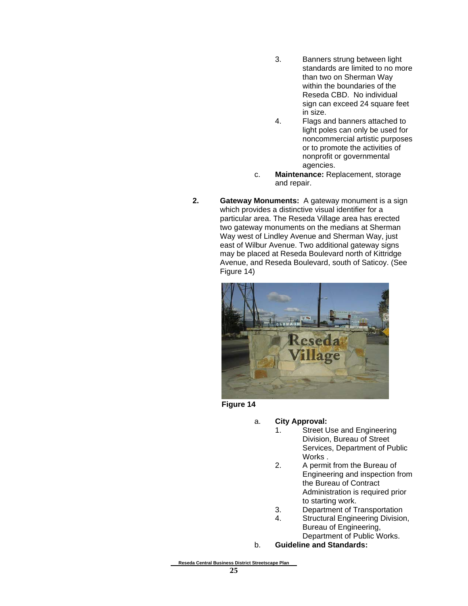- 3. Banners strung between light standards are limited to no more than two on Sherman Way within the boundaries of the Reseda CBD. No individual sign can exceed 24 square feet in size.
- 4. Flags and banners attached to light poles can only be used for noncommercial artistic purposes or to promote the activities of nonprofit or governmental agencies.
- c. **Maintenance:** Replacement, storage and repair.
- **2. Gateway Monuments:** A gateway monument is a sign which provides a distinctive visual identifier for a particular area. The Reseda Village area has erected two gateway monuments on the medians at Sherman Way west of Lindley Avenue and Sherman Way, just east of Wilbur Avenue. Two additional gateway signs may be placed at Reseda Boulevard north of Kittridge Avenue, and Reseda Boulevard, south of Saticoy. (See Figure 14)



**Figure 14**

- a. **City Approval:**
	- 1. Street Use and Engineering Division, Bureau of Street Services, Department of Public Works .
	- 2. A permit from the Bureau of Engineering and inspection from the Bureau of Contract Administration is required prior to starting work.
	- 3. Department of Transportation
	- 4. Structural Engineering Division, Bureau of Engineering, Department of Public Works.
- b. **Guideline and Standards:**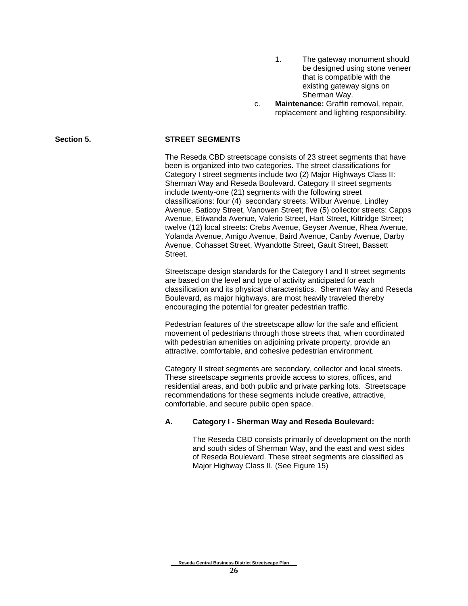- 1. The gateway monument should be designed using stone veneer that is compatible with the existing gateway signs on Sherman Way.
- c. **Maintenance:** Graffiti removal, repair, replacement and lighting responsibility.

#### Section 5. STREET SEGMENTS

The Reseda CBD streetscape consists of 23 street segments that have been is organized into two categories. The street classifications for Category I street segments include two (2) Major Highways Class II: Sherman Way and Reseda Boulevard. Category II street segments include twenty-one (21) segments with the following street classifications: four (4) secondary streets: Wilbur Avenue, Lindley Avenue, Saticoy Street, Vanowen Street; five (5) collector streets: Capps Avenue, Etiwanda Avenue, Valerio Street, Hart Street, Kittridge Street; twelve (12) local streets: Crebs Avenue, Geyser Avenue, Rhea Avenue, Yolanda Avenue, Amigo Avenue, Baird Avenue, Canby Avenue, Darby Avenue, Cohasset Street, Wyandotte Street, Gault Street, Bassett Street.

Streetscape design standards for the Category I and II street segments are based on the level and type of activity anticipated for each classification and its physical characteristics. Sherman Way and Reseda Boulevard, as major highways, are most heavily traveled thereby encouraging the potential for greater pedestrian traffic.

Pedestrian features of the streetscape allow for the safe and efficient movement of pedestrians through those streets that, when coordinated with pedestrian amenities on adjoining private property, provide an attractive, comfortable, and cohesive pedestrian environment.

Category II street segments are secondary, collector and local streets. These streetscape segments provide access to stores, offices, and residential areas, and both public and private parking lots. Streetscape recommendations for these segments include creative, attractive, comfortable, and secure public open space.

#### **A. Category I - Sherman Way and Reseda Boulevard:**

The Reseda CBD consists primarily of development on the north and south sides of Sherman Way, and the east and west sides of Reseda Boulevard. These street segments are classified as Major Highway Class II. (See Figure 15)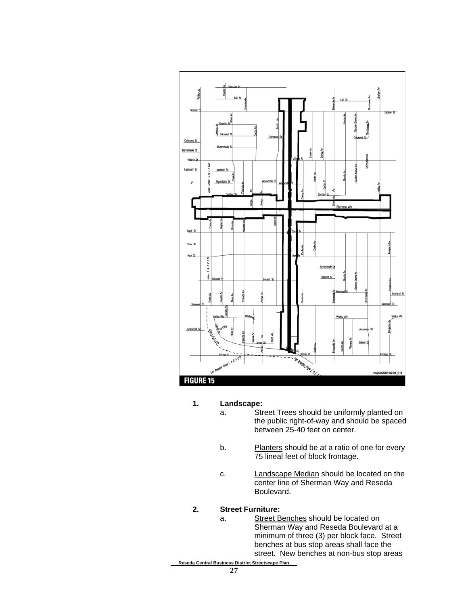

#### **1. Landscape:**

- a. Street Trees should be uniformly planted on the public right-of-way and should be spaced between 25-40 feet on center.
- b. Planters should be at a ratio of one for every 75 lineal feet of block frontage.
- c. Landscape Median should be located on the center line of Sherman Way and Reseda Boulevard.

#### **2. Street Furniture:**

- a. Street Benches should be located on Sherman Way and Reseda Boulevard at a minimum of three (3) per block face. Street benches at bus stop areas shall face the street. New benches at non-bus stop areas
- **Reseda Central Business District Streetscape Plan**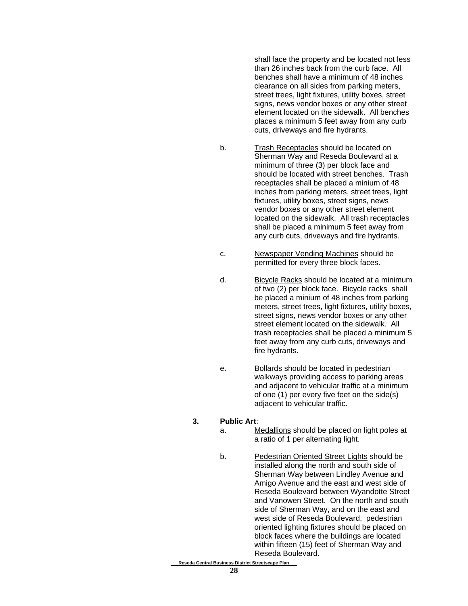shall face the property and be located not less than 26 inches back from the curb face. All benches shall have a minimum of 48 inches clearance on all sides from parking meters, street trees, light fixtures, utility boxes, street signs, news vendor boxes or any other street element located on the sidewalk. All benches places a minimum 5 feet away from any curb cuts, driveways and fire hydrants.

- b. Trash Receptacles should be located on Sherman Way and Reseda Boulevard at a minimum of three (3) per block face and should be located with street benches. Trash receptacles shall be placed a minium of 48 inches from parking meters, street trees, light fixtures, utility boxes, street signs, news vendor boxes or any other street element located on the sidewalk. All trash receptacles shall be placed a minimum 5 feet away from any curb cuts, driveways and fire hydrants.
- c. Newspaper Vending Machines should be permitted for every three block faces.
- d. Bicycle Racks should be located at a minimum of two (2) per block face. Bicycle racks shall be placed a minium of 48 inches from parking meters, street trees, light fixtures, utility boxes, street signs, news vendor boxes or any other street element located on the sidewalk. All trash receptacles shall be placed a minimum 5 feet away from any curb cuts, driveways and fire hydrants.
- e. Bollards should be located in pedestrian walkways providing access to parking areas and adjacent to vehicular traffic at a minimum of one (1) per every five feet on the side(s) adjacent to vehicular traffic.
- **3. Public Art**:
	- a. Medallions should be placed on light poles at a ratio of 1 per alternating light.
	- b. Pedestrian Oriented Street Lights should be installed along the north and south side of Sherman Way between Lindley Avenue and Amigo Avenue and the east and west side of Reseda Boulevard between Wyandotte Street and Vanowen Street. On the north and south side of Sherman Way, and on the east and west side of Reseda Boulevard, pedestrian oriented lighting fixtures should be placed on block faces where the buildings are located within fifteen (15) feet of Sherman Way and Reseda Boulevard.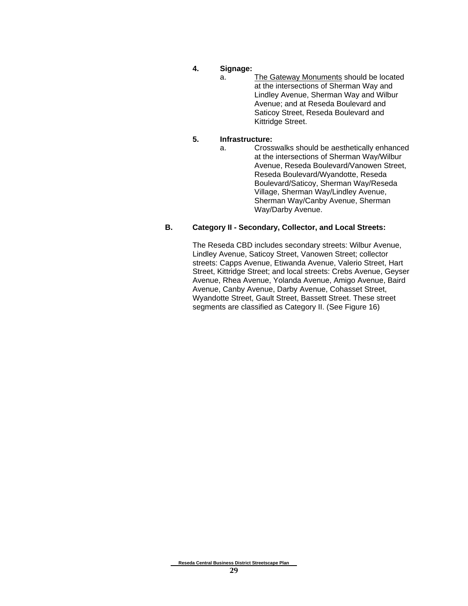- **4. Signage:**
	- a. The Gateway Monuments should be located at the intersections of Sherman Way and Lindley Avenue, Sherman Way and Wilbur Avenue; and at Reseda Boulevard and Saticoy Street, Reseda Boulevard and Kittridge Street.

#### **5. Infrastructure:**

a. Crosswalks should be aesthetically enhanced at the intersections of Sherman Way/Wilbur Avenue, Reseda Boulevard/Vanowen Street, Reseda Boulevard/Wyandotte, Reseda Boulevard/Saticoy, Sherman Way/Reseda Village, Sherman Way/Lindley Avenue, Sherman Way/Canby Avenue, Sherman Way/Darby Avenue.

#### **B. Category II - Secondary, Collector, and Local Streets:**

The Reseda CBD includes secondary streets: Wilbur Avenue, Lindley Avenue, Saticoy Street, Vanowen Street; collector streets: Capps Avenue, Etiwanda Avenue, Valerio Street, Hart Street, Kittridge Street; and local streets: Crebs Avenue, Geyser Avenue, Rhea Avenue, Yolanda Avenue, Amigo Avenue, Baird Avenue, Canby Avenue, Darby Avenue, Cohasset Street, Wyandotte Street, Gault Street, Bassett Street. These street segments are classified as Category II. (See Figure 16)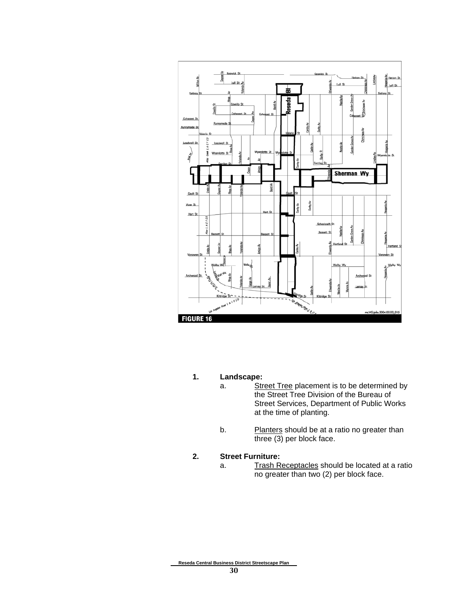

- **1. Landscape:**
	- a. Street Tree placement is to be determined by the Street Tree Division of the Bureau of Street Services, Department of Public Works at the time of planting.
	- b. Planters should be at a ratio no greater than three (3) per block face.

#### **2. Street Furniture:**

a. Trash Receptacles should be located at a ratio no greater than two (2) per block face.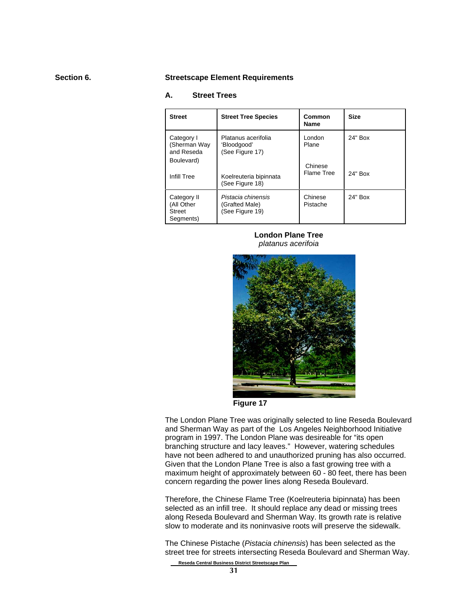#### **Section 6. Streetscape Element Requirements**

#### **A. Street Trees**

| <b>Street</b>                                           | <b>Street Tree Species</b>                              | Common<br><b>Name</b> | <b>Size</b> |
|---------------------------------------------------------|---------------------------------------------------------|-----------------------|-------------|
| Category I<br>(Sherman Way<br>and Reseda<br>Boulevard)  | Platanus acerifolia<br>'Bloodgood'<br>(See Figure 17)   | London<br>Plane       | 24" Box     |
| Infill Tree                                             | Koelreuteria bipinnata<br>(See Figure 18)               | Chinese<br>Flame Tree | 24" Box     |
| Category II<br>(All Other<br><b>Street</b><br>Segments) | Pistacia chinensis<br>(Grafted Male)<br>(See Figure 19) | Chinese<br>Pistache   | 24" Box     |

**London Plane Tree** *platanus acerifoia*



**Figure 17**

The London Plane Tree was originally selected to line Reseda Boulevard and Sherman Way as part of the Los Angeles Neighborhood Initiative program in 1997. The London Plane was desireable for "its open branching structure and lacy leaves." However, watering schedules have not been adhered to and unauthorized pruning has also occurred. Given that the London Plane Tree is also a fast growing tree with a maximum height of approximately between 60 - 80 feet, there has been concern regarding the power lines along Reseda Boulevard.

Therefore, the Chinese Flame Tree (Koelreuteria bipinnata) has been selected as an infill tree. It should replace any dead or missing trees along Reseda Boulevard and Sherman Way. Its growth rate is relative slow to moderate and its noninvasive roots will preserve the sidewalk.

The Chinese Pistache (*Pistacia chinensis*) has been selected as the street tree for streets intersecting Reseda Boulevard and Sherman Way.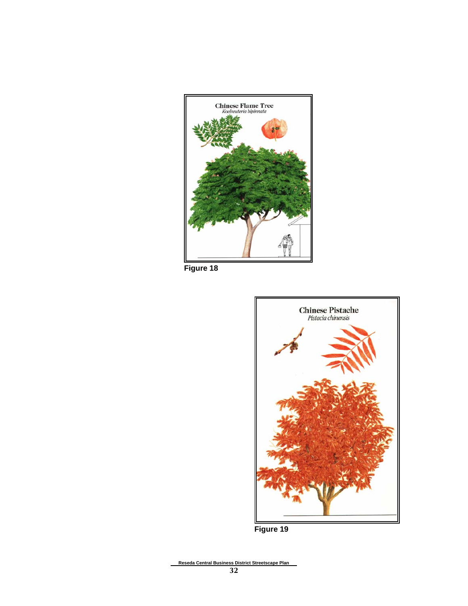

**Figure 18**



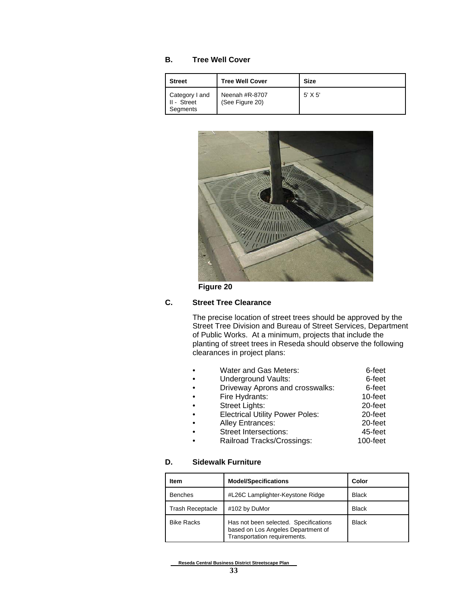#### **B. Tree Well Cover**

| <b>Street</b>                             | <b>Tree Well Cover</b>            | <b>Size</b> |
|-------------------------------------------|-----------------------------------|-------------|
| Category I and<br>II - Street<br>Segments | Neenah #R-8707<br>(See Figure 20) | $5'$ X 5'   |



**Figure 20**

#### **C. Street Tree Clearance**

The precise location of street trees should be approved by the Street Tree Division and Bureau of Street Services, Department of Public Works. At a minimum, projects that include the planting of street trees in Reseda should observe the following clearances in project plans:

| Water and Gas Meters:                  | 6-feet   |
|----------------------------------------|----------|
| <b>Underground Vaults:</b>             | 6-feet   |
| Driveway Aprons and crosswalks:        | 6-feet   |
| Fire Hydrants:                         | 10-feet  |
| <b>Street Lights:</b>                  | 20-feet  |
| <b>Electrical Utility Power Poles:</b> | 20-feet  |
| <b>Alley Entrances:</b>                | 20-feet  |
| <b>Street Intersections:</b>           | 45-feet  |
| Railroad Tracks/Crossings:             | 100-feet |

#### **D. Sidewalk Furniture**

| Item                    | <b>Model/Specifications</b>                                                                                 | Color        |
|-------------------------|-------------------------------------------------------------------------------------------------------------|--------------|
| <b>Benches</b>          | #L26C Lamplighter-Keystone Ridge                                                                            | <b>Black</b> |
| <b>Trash Receptacle</b> | #102 by DuMor                                                                                               | <b>Black</b> |
| <b>Bike Racks</b>       | Has not been selected. Specifications<br>based on Los Angeles Department of<br>Transportation requirements. | <b>Black</b> |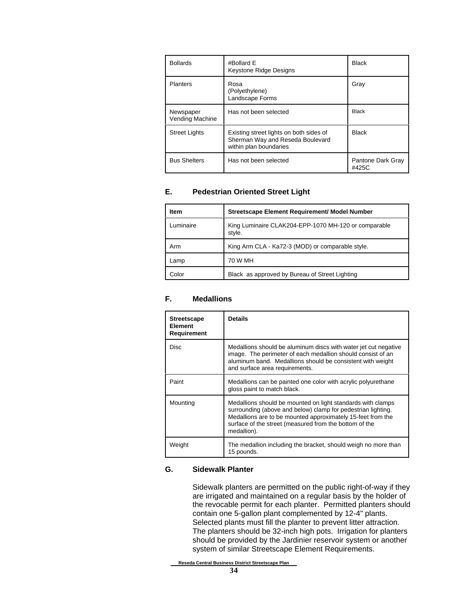| <b>Bollards</b>              | #Bollard E<br>Keystone Ridge Designs                                                                  | <b>Black</b>               |
|------------------------------|-------------------------------------------------------------------------------------------------------|----------------------------|
| <b>Planters</b>              | Rosa<br>(Polyethylene)<br>Landscape Forms                                                             | Gray                       |
| Newspaper<br>Vending Machine | Has not been selected                                                                                 | <b>Black</b>               |
| <b>Street Lights</b>         | Existing street lights on both sides of<br>Sherman Way and Reseda Boulevard<br>within plan boundaries | <b>Black</b>               |
| <b>Bus Shelters</b>          | Has not been selected                                                                                 | Pantone Dark Gray<br>#425C |

#### **E. Pedestrian Oriented Street Light**

| <b>Item</b> | <b>Streetscape Element Requirement/ Model Number</b>           |
|-------------|----------------------------------------------------------------|
| ∟uminaire   | King Luminaire CLAK204-EPP-1070 MH-120 or comparable<br>style. |
| Arm         | King Arm CLA - Ka72-3 (MOD) or comparable style.               |
| Lamp        | 70 W MH                                                        |
| Color       | Black as approved by Bureau of Street Lighting                 |

#### **F. Medallions**

| <b>Streetscape</b><br>Element<br><b>Requirement</b> | <b>Details</b>                                                                                                                                                                                                                                                      |
|-----------------------------------------------------|---------------------------------------------------------------------------------------------------------------------------------------------------------------------------------------------------------------------------------------------------------------------|
| <b>Disc</b>                                         | Medallions should be aluminum discs with water jet cut negative<br>image. The perimeter of each medallion should consist of an<br>aluminum band. Medallions should be consistent with weight<br>and surface area requirements.                                      |
| Paint                                               | Medallions can be painted one color with acrylic polyurethane<br>gloss paint to match black.                                                                                                                                                                        |
| Mounting                                            | Medallions should be mounted on light standards with clamps<br>surrounding (above and below) clamp for pedestrian lighting.<br>Medallions are to be mounted approximately 15-feet from the<br>surface of the street (measured from the bottom of the<br>medallion). |
| Weight                                              | The medallion including the bracket, should weigh no more than<br>15 pounds.                                                                                                                                                                                        |

#### **G. Sidewalk Planter**

Sidewalk planters are permitted on the public right-of-way if they are irrigated and maintained on a regular basis by the holder of the revocable permit for each planter. Permitted planters should contain one 5-gallon plant complemented by 12-4" plants. Selected plants must fill the planter to prevent litter attraction. The planters should be 32-inch high pots. Irrigation for planters should be provided by the Jardinier reservoir system or another system of similar Streetscape Element Requirements.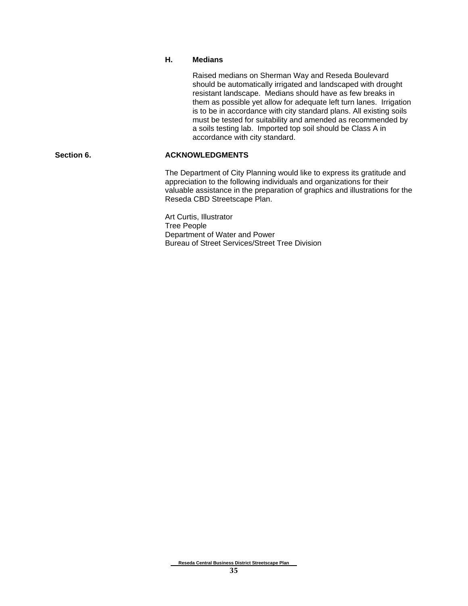#### **H. Medians**

Raised medians on Sherman Way and Reseda Boulevard should be automatically irrigated and landscaped with drought resistant landscape. Medians should have as few breaks in them as possible yet allow for adequate left turn lanes. Irrigation is to be in accordance with city standard plans. All existing soils must be tested for suitability and amended as recommended by a soils testing lab. Imported top soil should be Class A in accordance with city standard.

#### Section 6. **ACKNOWLEDGMENTS**

The Department of City Planning would like to express its gratitude and appreciation to the following individuals and organizations for their valuable assistance in the preparation of graphics and illustrations for the Reseda CBD Streetscape Plan.

Art Curtis, Illustrator Tree People Department of Water and Power Bureau of Street Services/Street Tree Division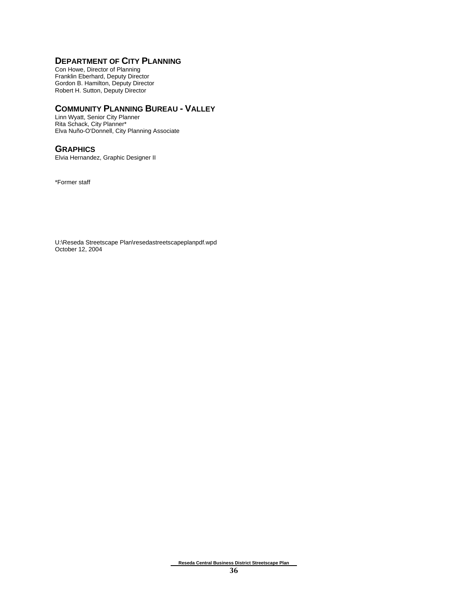#### **DEPARTMENT OF CITY PLANNING**

Con Howe, Director of Planning Franklin Eberhard, Deputy Director Gordon B. Hamilton, Deputy Director Robert H. Sutton, Deputy Director

#### **COMMUNITY PLANNING BUREAU - VALLEY**

Linn Wyatt, Senior City Planner Rita Schack, City Planner\* Elva Nuño-O'Donnell, City Planning Associate

#### **GRAPHICS**

Elvia Hernandez, Graphic Designer II

\*Former staff

U:\Reseda Streetscape Plan\resedastreetscapeplanpdf.wpd October 12, 2004